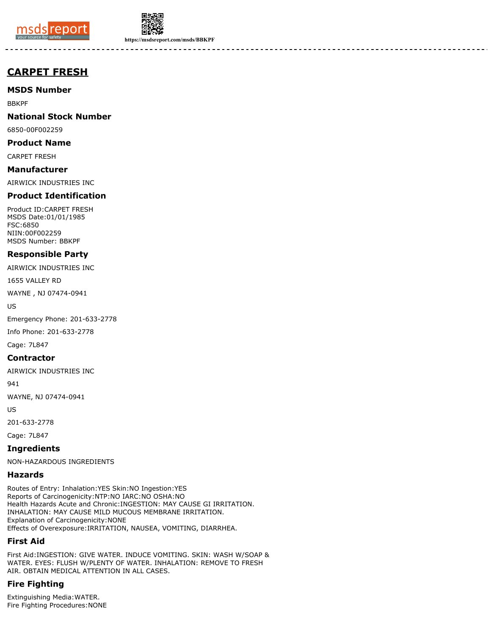



**https://msdsreport.com/msds/BBKPF**

# **CARPET FRESH**

**MSDS Number**

BBKPF

**National Stock Number**

6850-00F002259

**Product Name**

CARPET FRESH

**Manufacturer**

AIRWICK INDUSTRIES INC

# **Product Identification**

Product ID:CARPET FRESH MSDS Date:01/01/1985 FSC:6850 NIIN:00F002259 MSDS Number: BBKPF

# **Responsible Party**

AIRWICK INDUSTRIES INC

1655 VALLEY RD

WAYNE , NJ 07474-0941

US

Emergency Phone: 201-633-2778

Info Phone: 201-633-2778

Cage: 7L847

# **Contractor**

AIRWICK INDUSTRIES INC

941

WAYNE, NJ 07474-0941

US

201-633-2778

Cage: 7L847

**Ingredients**

NON-HAZARDOUS INGREDIENTS

# **Hazards**

Routes of Entry: Inhalation:YES Skin:NO Ingestion:YES Reports of Carcinogenicity:NTP:NO IARC:NO OSHA:NO Health Hazards Acute and Chronic:INGESTION: MAY CAUSE GI IRRITATION. INHALATION: MAY CAUSE MILD MUCOUS MEMBRANE IRRITATION. Explanation of Carcinogenicity:NONE Effects of Overexposure:IRRITATION, NAUSEA, VOMITING, DIARRHEA.

# **First Aid**

First Aid:INGESTION: GIVE WATER. INDUCE VOMITING. SKIN: WASH W/SOAP & WATER. EYES: FLUSH W/PLENTY OF WATER. INHALATION: REMOVE TO FRESH AIR. OBTAIN MEDICAL ATTENTION IN ALL CASES.

# **Fire Fighting**

Extinguishing Media:WATER. Fire Fighting Procedures:NONE